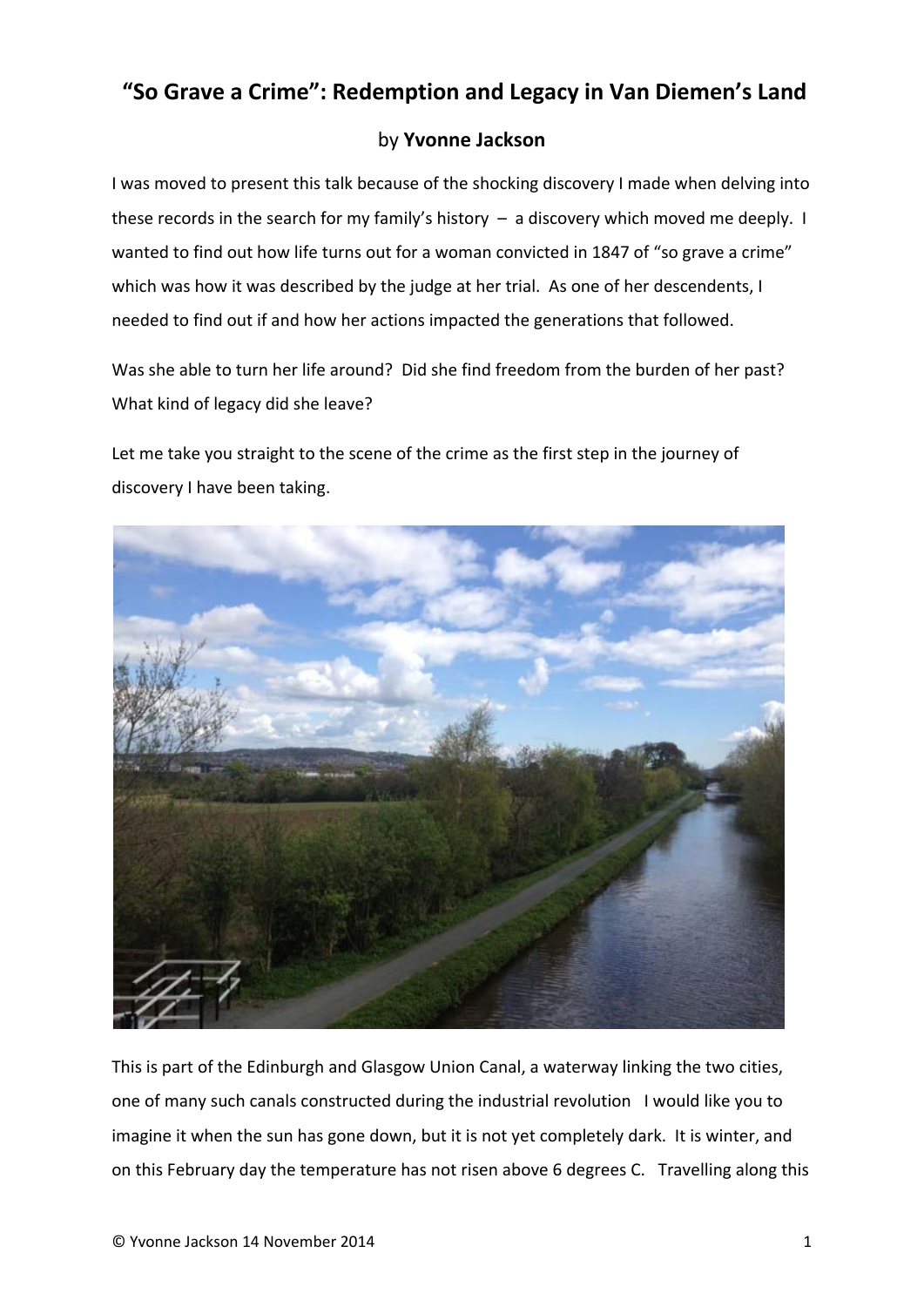## **"So Grave a Crime": Redemption and Legacy in Van Diemen's Land**

## by **Yvonne Jackson**

I was moved to present this talk because of the shocking discovery I made when delving into these records in the search for my family's history – a discovery which moved me deeply. I wanted to find out how life turns out for a woman convicted in 1847 of "so grave a crime" which was how it was described by the judge at her trial. As one of her descendents, I needed to find out if and how her actions impacted the generations that followed.

Was she able to turn her life around? Did she find freedom from the burden of her past? What kind of legacy did she leave?

Let me take you straight to the scene of the crime as the first step in the journey of discovery I have been taking.



This is part of the Edinburgh and Glasgow Union Canal, a waterway linking the two cities, one of many such canals constructed during the industrial revolution I would like you to imagine it when the sun has gone down, but it is not yet completely dark. It is winter, and on this February day the temperature has not risen above 6 degrees C. Travelling along this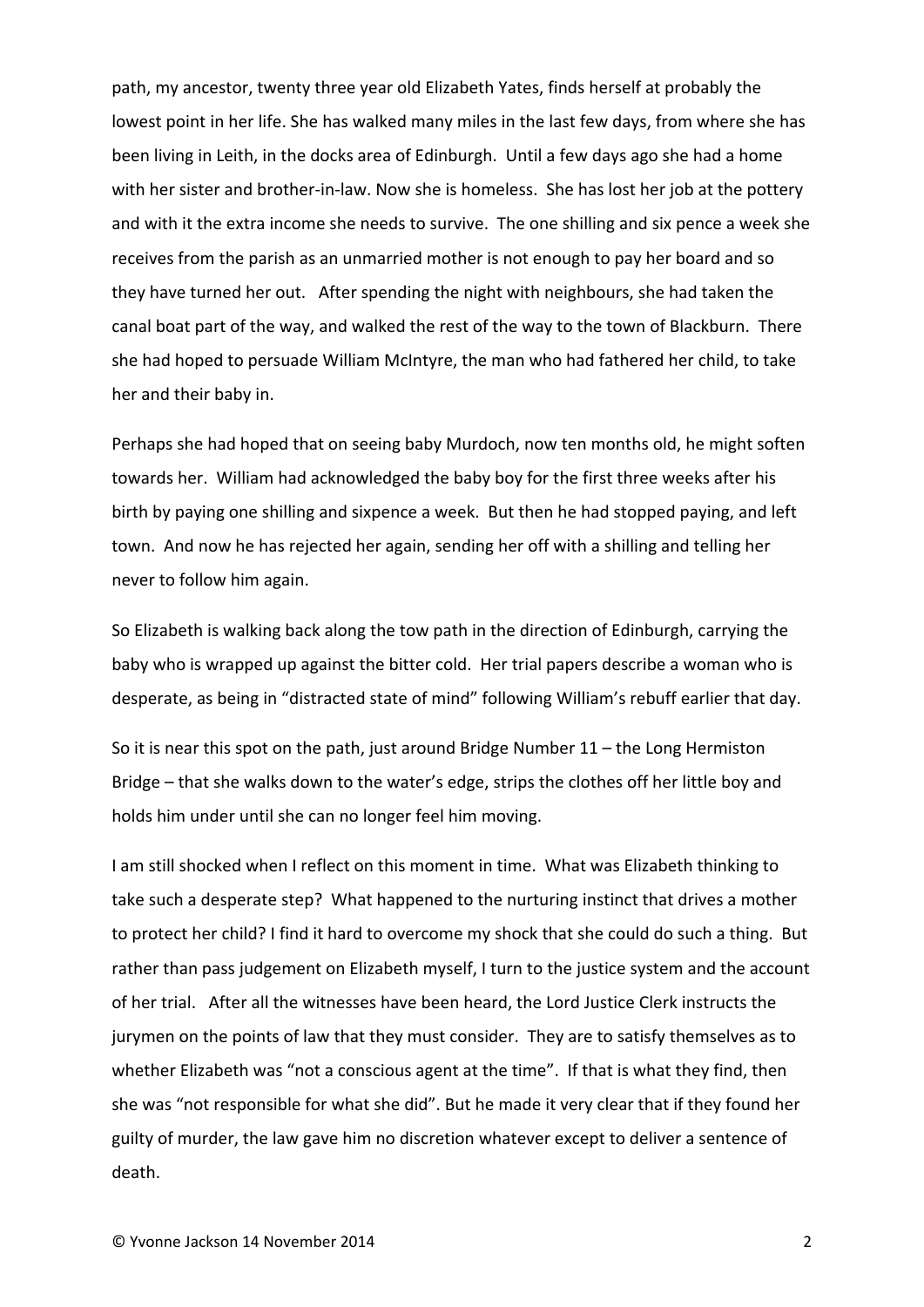path, my ancestor, twenty three year old Elizabeth Yates, finds herself at probably the lowest point in her life. She has walked many miles in the last few days, from where she has been living in Leith, in the docks area of Edinburgh. Until a few days ago she had a home with her sister and brother-in-law. Now she is homeless. She has lost her job at the pottery and with it the extra income she needs to survive. The one shilling and six pence a week she receives from the parish as an unmarried mother is not enough to pay her board and so they have turned her out. After spending the night with neighbours, she had taken the canal boat part of the way, and walked the rest of the way to the town of Blackburn. There she had hoped to persuade William McIntyre, the man who had fathered her child, to take her and their baby in.

Perhaps she had hoped that on seeing baby Murdoch, now ten months old, he might soften towards her. William had acknowledged the baby boy for the first three weeks after his birth by paying one shilling and sixpence a week. But then he had stopped paying, and left town. And now he has rejected her again, sending her off with a shilling and telling her never to follow him again.

So Elizabeth is walking back along the tow path in the direction of Edinburgh, carrying the baby who is wrapped up against the bitter cold. Her trial papers describe a woman who is desperate, as being in "distracted state of mind" following William's rebuff earlier that day.

So it is near this spot on the path, just around Bridge Number 11 – the Long Hermiston Bridge – that she walks down to the water's edge, strips the clothes off her little boy and holds him under until she can no longer feel him moving.

I am still shocked when I reflect on this moment in time. What was Elizabeth thinking to take such a desperate step? What happened to the nurturing instinct that drives a mother to protect her child? I find it hard to overcome my shock that she could do such a thing. But rather than pass judgement on Elizabeth myself, I turn to the justice system and the account of her trial. After all the witnesses have been heard, the Lord Justice Clerk instructs the jurymen on the points of law that they must consider. They are to satisfy themselves as to whether Elizabeth was "not a conscious agent at the time". If that is what they find, then she was "not responsible for what she did". But he made it very clear that if they found her guilty of murder, the law gave him no discretion whatever except to deliver a sentence of death.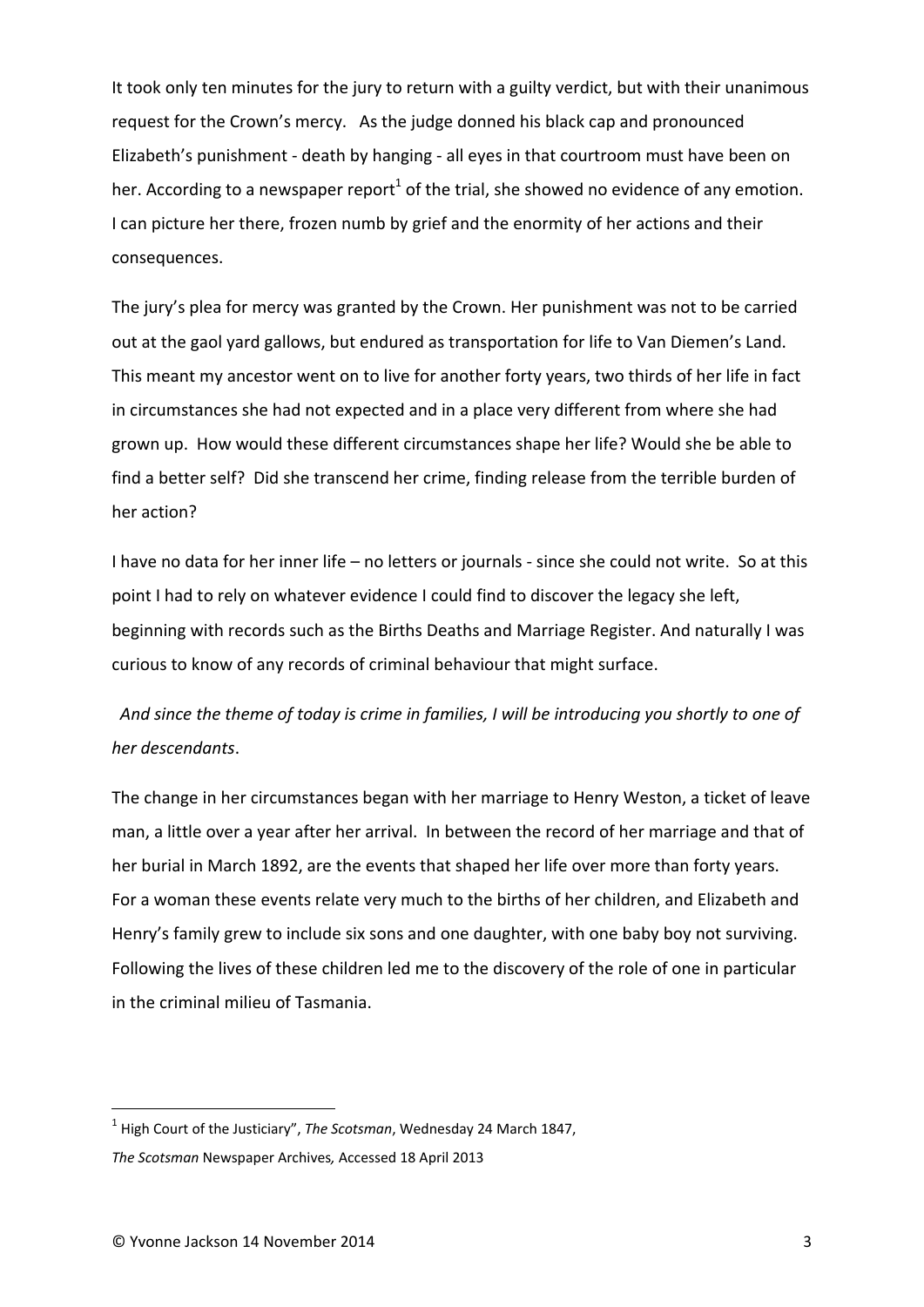It took only ten minutes for the jury to return with a guilty verdict, but with their unanimous request for the Crown's mercy. As the judge donned his black cap and pronounced Elizabeth's punishment ‐ death by hanging ‐ all eyes in that courtroom must have been on her. According to a newspaper report<sup>1</sup> of the trial, she showed no evidence of any emotion. I can picture her there, frozen numb by grief and the enormity of her actions and their consequences.

The jury's plea for mercy was granted by the Crown. Her punishment was not to be carried out at the gaol yard gallows, but endured as transportation for life to Van Diemen's Land. This meant my ancestor went on to live for another forty years, two thirds of her life in fact in circumstances she had not expected and in a place very different from where she had grown up. How would these different circumstances shape her life? Would she be able to find a better self? Did she transcend her crime, finding release from the terrible burden of her action?

I have no data for her inner life – no letters or journals ‐ since she could not write. So at this point I had to rely on whatever evidence I could find to discover the legacy she left, beginning with records such as the Births Deaths and Marriage Register. And naturally I was curious to know of any records of criminal behaviour that might surface.

And since the theme of today is crime in families, I will be introducing you shortly to one of *her descendants*.

The change in her circumstances began with her marriage to Henry Weston, a ticket of leave man, a little over a year after her arrival. In between the record of her marriage and that of her burial in March 1892, are the events that shaped her life over more than forty years. For a woman these events relate very much to the births of her children, and Elizabeth and Henry's family grew to include six sons and one daughter, with one baby boy not surviving. Following the lives of these children led me to the discovery of the role of one in particular in the criminal milieu of Tasmania.

<sup>1</sup> High Court of the Justiciary", *The Scotsman*, Wednesday 24 March 1847,

*The Scotsman* Newspaper Archives*,* Accessed 18 April 2013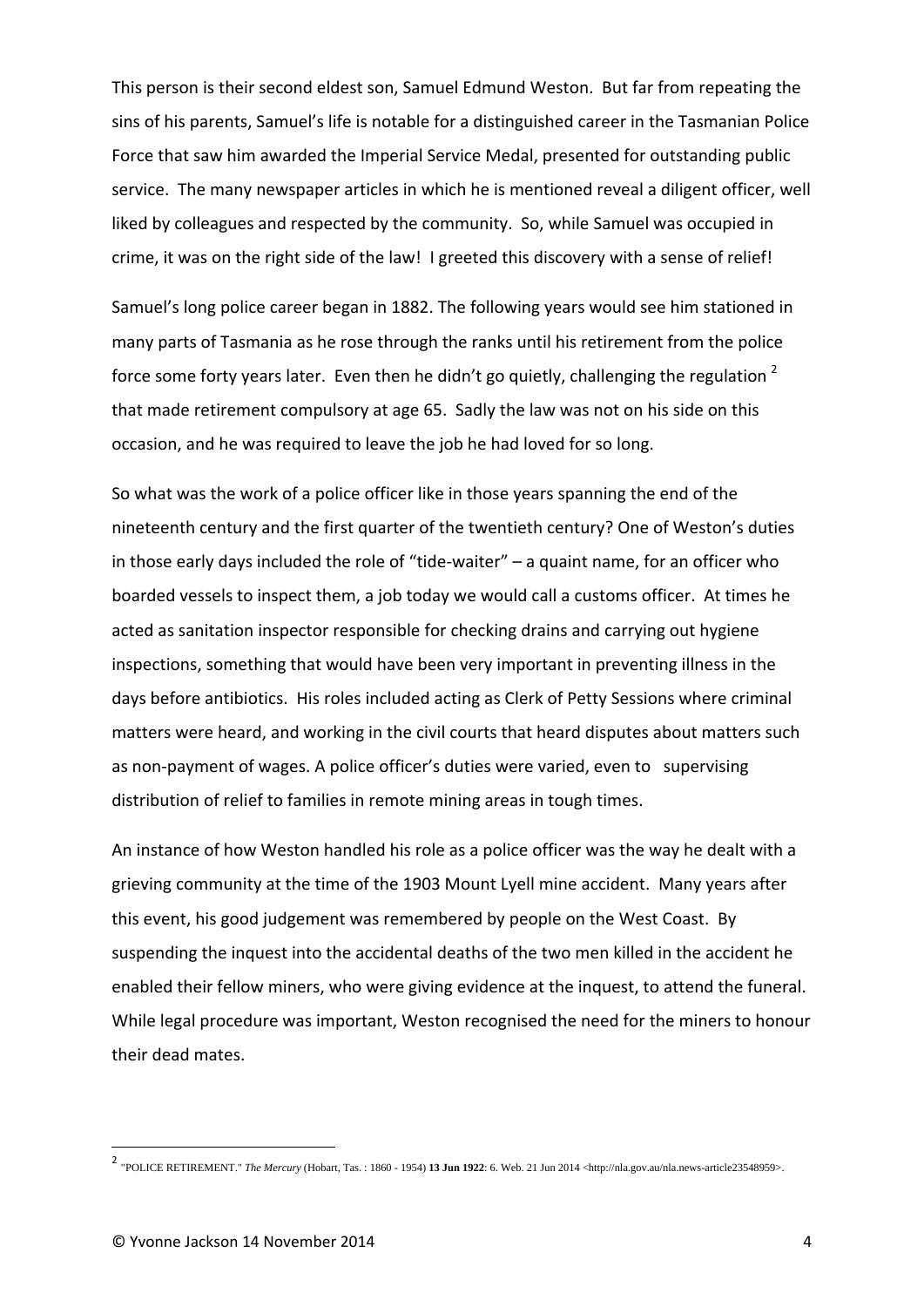This person is their second eldest son, Samuel Edmund Weston. But far from repeating the sins of his parents, Samuel's life is notable for a distinguished career in the Tasmanian Police Force that saw him awarded the Imperial Service Medal, presented for outstanding public service. The many newspaper articles in which he is mentioned reveal a diligent officer, well liked by colleagues and respected by the community. So, while Samuel was occupied in crime, it was on the right side of the law! I greeted this discovery with a sense of relief!

Samuel's long police career began in 1882. The following years would see him stationed in many parts of Tasmania as he rose through the ranks until his retirement from the police force some forty years later. Even then he didn't go quietly, challenging the regulation  $2$ that made retirement compulsory at age 65. Sadly the law was not on his side on this occasion, and he was required to leave the job he had loved for so long.

So what was the work of a police officer like in those years spanning the end of the nineteenth century and the first quarter of the twentieth century? One of Weston's duties in those early days included the role of "tide‐waiter" – a quaint name, for an officer who boarded vessels to inspect them, a job today we would call a customs officer. At times he acted as sanitation inspector responsible for checking drains and carrying out hygiene inspections, something that would have been very important in preventing illness in the days before antibiotics. His roles included acting as Clerk of Petty Sessions where criminal matters were heard, and working in the civil courts that heard disputes about matters such as non-payment of wages. A police officer's duties were varied, even to supervising distribution of relief to families in remote mining areas in tough times.

An instance of how Weston handled his role as a police officer was the way he dealt with a grieving community at the time of the 1903 Mount Lyell mine accident. Many years after this event, his good judgement was remembered by people on the West Coast. By suspending the inquest into the accidental deaths of the two men killed in the accident he enabled their fellow miners, who were giving evidence at the inquest, to attend the funeral. While legal procedure was important, Weston recognised the need for the miners to honour their dead mates.

<sup>2</sup> "POLICE RETIREMENT." *The Mercury* (Hobart, Tas. : 1860 - 1954) **13 Jun 1922**: 6. Web. 21 Jun 2014 <http://nla.gov.au/nla.news-article23548959>.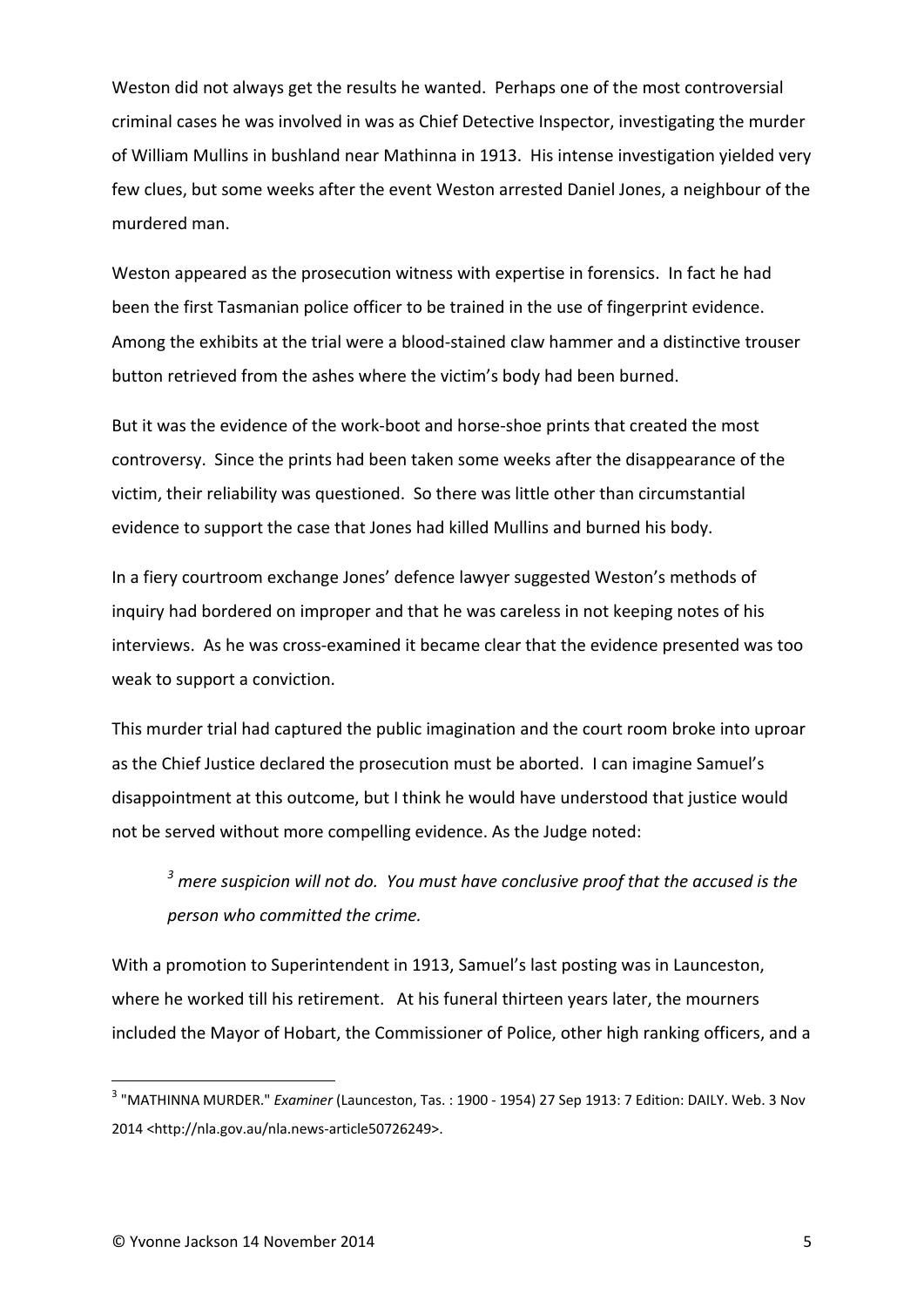Weston did not always get the results he wanted. Perhaps one of the most controversial criminal cases he was involved in was as Chief Detective Inspector, investigating the murder of William Mullins in bushland near Mathinna in 1913. His intense investigation yielded very few clues, but some weeks after the event Weston arrested Daniel Jones, a neighbour of the murdered man.

Weston appeared as the prosecution witness with expertise in forensics. In fact he had been the first Tasmanian police officer to be trained in the use of fingerprint evidence. Among the exhibits at the trial were a blood‐stained claw hammer and a distinctive trouser button retrieved from the ashes where the victim's body had been burned.

But it was the evidence of the work‐boot and horse‐shoe prints that created the most controversy. Since the prints had been taken some weeks after the disappearance of the victim, their reliability was questioned. So there was little other than circumstantial evidence to support the case that Jones had killed Mullins and burned his body.

In a fiery courtroom exchange Jones' defence lawyer suggested Weston's methods of inquiry had bordered on improper and that he was careless in not keeping notes of his interviews. As he was cross-examined it became clear that the evidence presented was too weak to support a conviction.

This murder trial had captured the public imagination and the court room broke into uproar as the Chief Justice declared the prosecution must be aborted. I can imagine Samuel's disappointment at this outcome, but I think he would have understood that justice would not be served without more compelling evidence. As the Judge noted:

*<sup>3</sup> mere suspicion will not do. You must have conclusive proof that the accused is the person who committed the crime.*

With a promotion to Superintendent in 1913, Samuel's last posting was in Launceston, where he worked till his retirement. At his funeral thirteen years later, the mourners included the Mayor of Hobart, the Commissioner of Police, other high ranking officers, and a

<sup>3</sup> "MATHINNA MURDER." *Examiner* (Launceston, Tas. : 1900 ‐ 1954) 27 Sep 1913: 7 Edition: DAILY. Web. 3 Nov 2014 <http://nla.gov.au/nla.news‐article50726249>.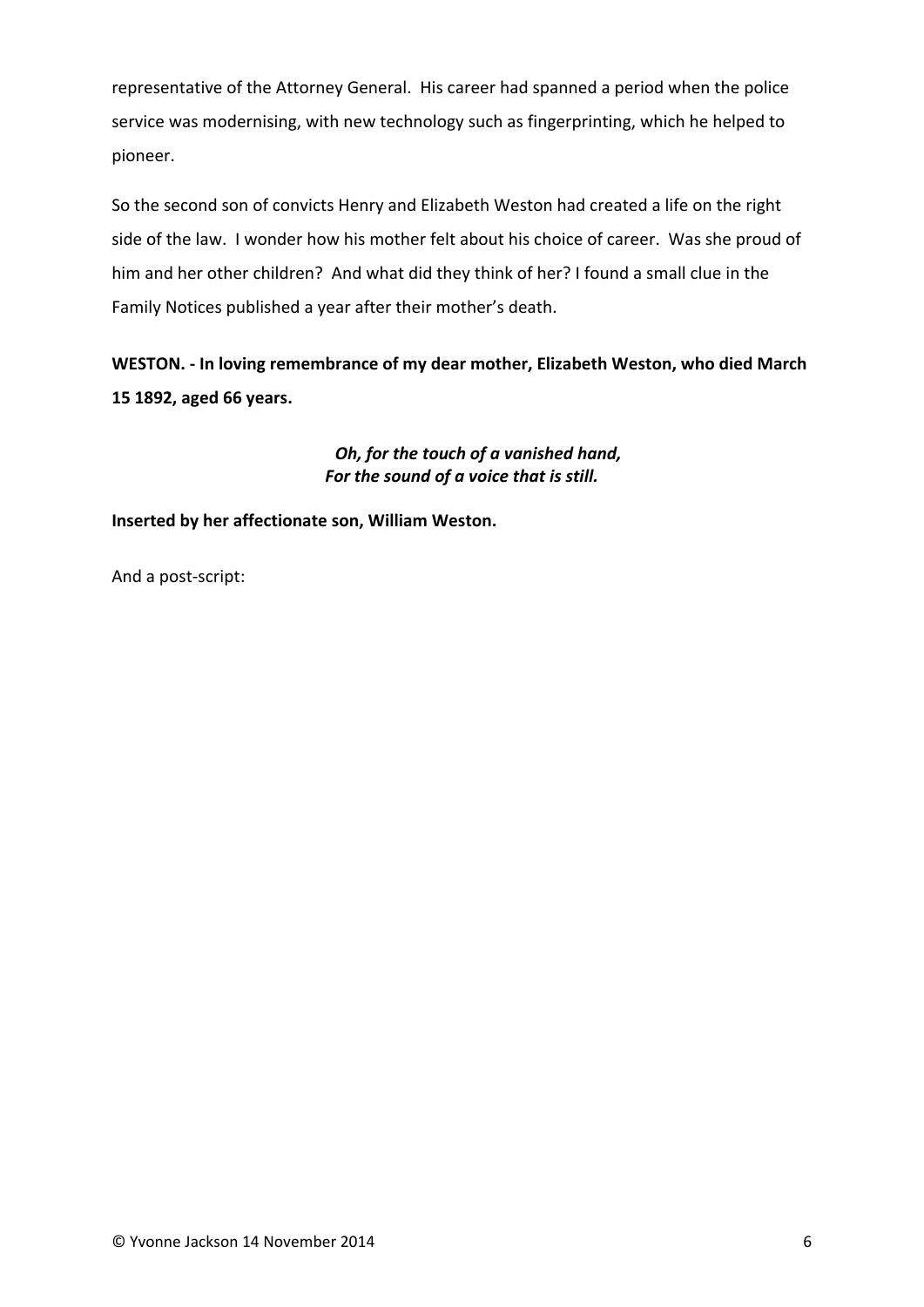representative of the Attorney General. His career had spanned a period when the police service was modernising, with new technology such as fingerprinting, which he helped to pioneer.

So the second son of convicts Henry and Elizabeth Weston had created a life on the right side of the law. I wonder how his mother felt about his choice of career. Was she proud of him and her other children? And what did they think of her? I found a small clue in the Family Notices published a year after their mother's death.

**WESTON. ‐ In loving remembrance of my dear mother, Elizabeth Weston, who died March 15 1892, aged 66 years.** 

### *Oh, for the touch of a vanished hand, For the sound of a voice that is still.*

**Inserted by her affectionate son, William Weston.**

And a post‐script: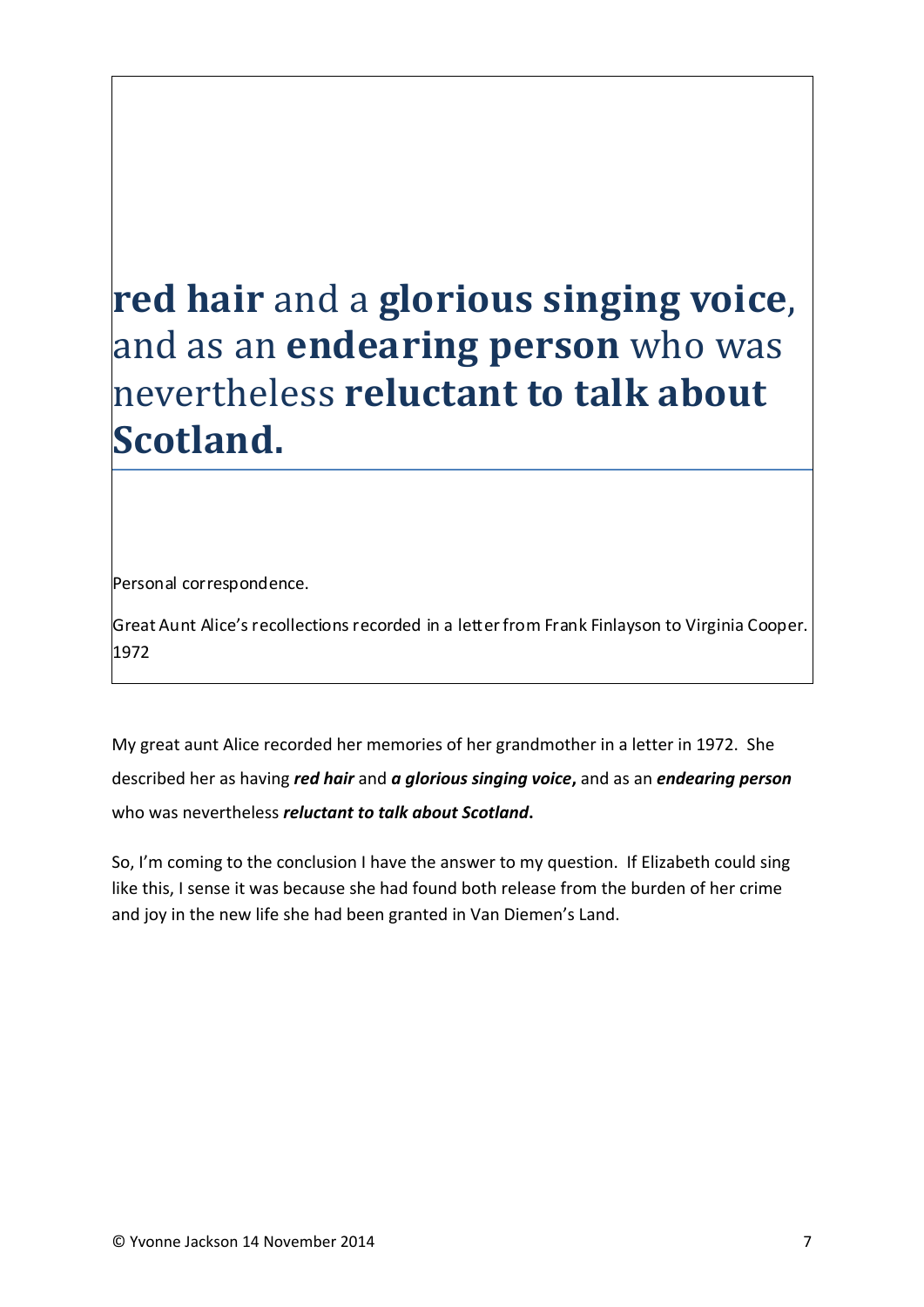# **red hair** and a **glorious singing voice**, and as an **endearing person** who was nevertheless **reluctant to talk about Scotland.**

Personal correspondence.

Great Aunt Alice's recollections recorded in a letter from Frank Finlayson to Virginia Cooper. 1972

My great aunt Alice recorded her memories of her grandmother in a letter in 1972. She described her as having *red hair* and *a glorious singing voice***,** and as an *endearing person* who was nevertheless *reluctant to talk about Scotland***.** 

So, I'm coming to the conclusion I have the answer to my question. If Elizabeth could sing like this, I sense it was because she had found both release from the burden of her crime and joy in the new life she had been granted in Van Diemen's Land.